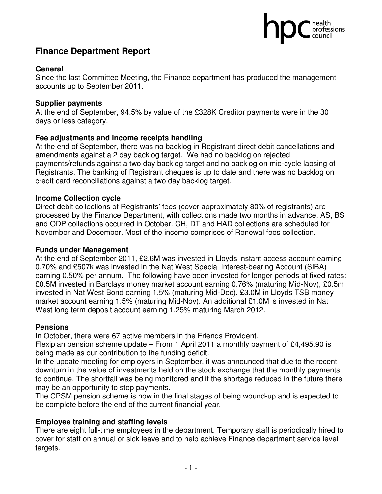## health<br>professions

### **Finance Department Report**

#### **General**

Since the last Committee Meeting, the Finance department has produced the management accounts up to September 2011.

#### **Supplier payments**

At the end of September, 94.5% by value of the £328K Creditor payments were in the 30 days or less category.

#### **Fee adjustments and income receipts handling**

At the end of September, there was no backlog in Registrant direct debit cancellations and amendments against a 2 day backlog target. We had no backlog on rejected payments/refunds against a two day backlog target and no backlog on mid-cycle lapsing of Registrants. The banking of Registrant cheques is up to date and there was no backlog on credit card reconciliations against a two day backlog target.

#### **Income Collection cycle**

Direct debit collections of Registrants' fees (cover approximately 80% of registrants) are processed by the Finance Department, with collections made two months in advance. AS, BS and ODP collections occurred in October. CH, DT and HAD collections are scheduled for November and December. Most of the income comprises of Renewal fees collection.

#### **Funds under Management**

At the end of September 2011, £2.6M was invested in Lloyds instant access account earning 0.70% and £507k was invested in the Nat West Special Interest-bearing Account (SIBA) earning 0.50% per annum. The following have been invested for longer periods at fixed rates: £0.5M invested in Barclays money market account earning 0.76% (maturing Mid-Nov), £0.5m invested in Nat West Bond earning 1.5% (maturing Mid-Dec), £3.0M in Lloyds TSB money market account earning 1.5% (maturing Mid-Nov). An additional £1.0M is invested in Nat West long term deposit account earning 1.25% maturing March 2012.

#### **Pensions**

In October, there were 67 active members in the Friends Provident.

Flexiplan pension scheme update – From 1 April 2011 a monthly payment of £4,495.90 is being made as our contribution to the funding deficit.

In the update meeting for employers in September, it was announced that due to the recent downturn in the value of investments held on the stock exchange that the monthly payments to continue. The shortfall was being monitored and if the shortage reduced in the future there may be an opportunity to stop payments.

The CPSM pension scheme is now in the final stages of being wound-up and is expected to be complete before the end of the current financial year.

#### **Employee training and staffing levels**

There are eight full-time employees in the department. Temporary staff is periodically hired to cover for staff on annual or sick leave and to help achieve Finance department service level targets.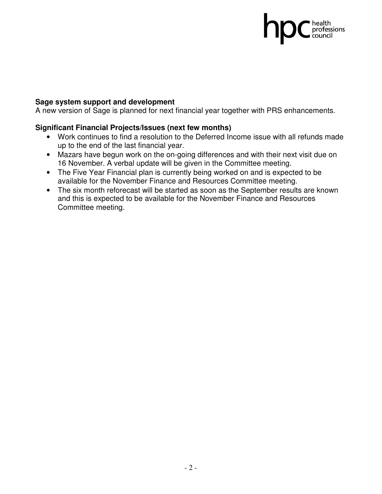## C health<br>professions<br>council

#### **Sage system support and development**

A new version of Sage is planned for next financial year together with PRS enhancements.

#### **Significant Financial Projects/Issues (next few months)**

- Work continues to find a resolution to the Deferred Income issue with all refunds made up to the end of the last financial year.
- Mazars have begun work on the on-going differences and with their next visit due on 16 November. A verbal update will be given in the Committee meeting.
- The Five Year Financial plan is currently being worked on and is expected to be available for the November Finance and Resources Committee meeting.
- The six month reforecast will be started as soon as the September results are known and this is expected to be available for the November Finance and Resources Committee meeting.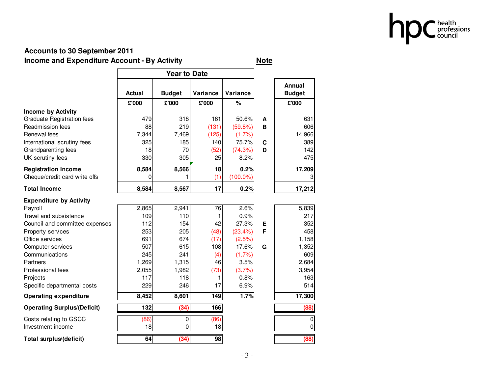

#### **Accounts to 30 September 2011Income and Expenditure Account - By Activity <u>Note</u>**

|                                    | Actual | <b>Budget</b> | Variance | Variance    |             | Annual<br><b>Budget</b> |
|------------------------------------|--------|---------------|----------|-------------|-------------|-------------------------|
|                                    | £'000  | £'000         | £'000    | $\%$        |             | £'000                   |
| Income by Activity                 |        |               |          |             |             |                         |
| <b>Graduate Registration fees</b>  | 479    | 318           | 161      | 50.6%       | A           | 631                     |
| Readmission fees                   | 88     | 219           | (131)    | (59.8%)     | B           | 606                     |
| Renewal fees                       | 7,344  | 7,469         | (125)    | (1.7%)      |             | 14,966                  |
| International scrutiny fees        | 325    | 185           | 140      | 75.7%       | $\mathbf c$ | 389                     |
| Grandparenting fees                | 18     | 70            | (52)     | (74.3%)     | D           | 142                     |
| UK scrutiny fees                   | 330    | 305           | 25       | 8.2%        |             | 475                     |
| <b>Registration Income</b>         | 8,584  | 8,566         | 18       | 0.2%        |             | 17,209                  |
| Cheque/credit card write offs      | 0      | 1             | (1)      | $(100.0\%)$ |             | $\vert 3 \vert$         |
| <b>Total Income</b>                | 8,584  | 8,567         | 17       | 0.2%        |             | 17,212                  |
| <b>Expenditure by Activity</b>     |        |               |          |             |             |                         |
| Payroll                            | 2,865  | 2,941         | 76       | 2.6%        |             | 5,839                   |
| Travel and subsistence             | 109    | 110           | 1        | 0.9%        |             | 217                     |
| Council and committee expenses     | 112    | 154           | 42       | 27.3%       | E           | 352                     |
| Property services                  | 253    | 205           | (48)     | (23.4% )    | F           | 458                     |
| Office services                    | 691    | 674           | (17)     | (2.5%)      |             | 1,158                   |
| Computer services                  | 507    | 615           | 108      | 17.6%       | G           | 1,352                   |
| Communications                     | 245    | 241           | (4)      | (1.7%)      |             | 609                     |
| Partners                           | 1,269  | 1,315         | 46       | 3.5%        |             | 2,684                   |
| Professional fees                  | 2,055  | 1,982         | (73)     | (3.7%)      |             | 3,954                   |
| Projects                           | 117    | 118           | 1        | 0.8%        |             | 163                     |
| Specific departmental costs        | 229    | 246           | 17       | 6.9%        |             | 514                     |
| <b>Operating expenditure</b>       | 8,452  | 8,601         | 149      | 1.7%        |             | 17,300                  |
| <b>Operating Surplus/(Deficit)</b> | 132    | (34)          | 166      |             |             | (88)                    |
| Costs relating to GSCC             | (86)   | $\pmb{0}$     | (86)     |             |             | $\overline{0}$          |
| Investment income                  | 18     | 0             | 18       |             |             | $\pmb{0}$               |
| Total surplus/(deficit)            | 64     | (34)          | 98       |             |             | (88)                    |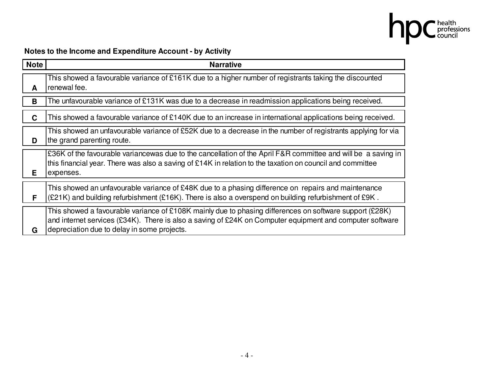

### **Notes to the Income and Expenditure Account - by Activity**

| <b>Note</b> | <b>Narrative</b>                                                                                                                                                                                                                                                   |
|-------------|--------------------------------------------------------------------------------------------------------------------------------------------------------------------------------------------------------------------------------------------------------------------|
| A           | This showed a favourable variance of £161K due to a higher number of registrants taking the discounted<br>renewal fee.                                                                                                                                             |
| B           | The unfavourable variance of £131K was due to a decrease in readmission applications being received.                                                                                                                                                               |
| C           | This showed a favourable variance of £140K due to an increase in international applications being received.                                                                                                                                                        |
| D           | This showed an unfavourable variance of £52K due to a decrease in the number of registrants applying for via<br>the grand parenting route.                                                                                                                         |
| Е.          | £36K of the favourable variancewas due to the cancellation of the April F&R committee and will be a saving in<br>this financial year. There was also a saving of £14K in relation to the taxation on council and committee<br>expenses.                            |
| F           | This showed an unfavourable variance of £48K due to a phasing difference on repairs and maintenance<br>(£21K) and building refurbishment (£16K). There is also a overspend on building refurbishment of £9K.                                                       |
| G           | This showed a favourable variance of £108K mainly due to phasing differences on software support (£28K)<br>and internet services (£34K). There is also a saving of £24K on Computer equipment and computer software<br>depreciation due to delay in some projects. |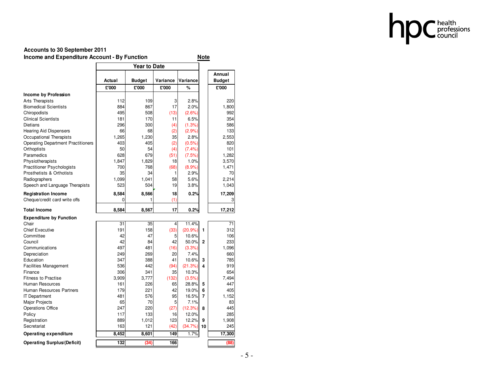

#### **Accounts to 30 September 2011Income and Expenditure Account - By Function Note**

|                                           |        |        |          |           |              | Annual        |
|-------------------------------------------|--------|--------|----------|-----------|--------------|---------------|
|                                           | Actual | Budget | Variance | Variance  |              | <b>Budget</b> |
|                                           | £'000  | £'000  | £'000    | %         |              | £'000         |
| Income by Profession                      |        |        |          |           |              |               |
| Arts Therapists                           | 112    | 109    | 3        | 2.8%      |              | 220           |
| <b>Biomedical Scientists</b>              | 884    | 867    | 17       | 2.0%      |              | 1,800         |
| Chiropodists                              | 495    | 508    | (13)     | (2.6%)    |              | 992           |
| <b>Clinical Scientists</b>                | 181    | 170    | 11       | 6.5%      |              | 354           |
| <b>Dietians</b>                           | 296    | 300    | (4)      | (1.3%)    |              | 586           |
| <b>Hearing Aid Dispensers</b>             | 66     | 68     | (2)      | (2.9%     |              | 133           |
| Occupational Therapists                   | 1,265  | 1,230  | 35       | 2.8%      |              | 2,553         |
| <b>Operating Department Practitioners</b> | 403    | 405    | (2)      | $(0.5\%)$ |              | 820           |
| Orthoptists                               | 50     | 54     | (4)      | (7.4%     |              | 101           |
| Paramedics                                | 628    | 679    | (51)     | (7.5%)    |              | 1,282         |
| Physiotherapists                          | 1,847  | 1,829  | 18       | 1.0%      |              | 3,570         |
| <b>Practitioner Psychologists</b>         | 700    | 768    | (68)     | (8.9%)    |              | 1,471         |
| Prosthetists & Orthotists                 | 35     | 34     | 1        | 2.9%      |              | 70            |
| Radiographers                             | 1,099  | 1,041  | 58       | 5.6%      |              | 2,214         |
| Speech and Language Therapists            | 523    | 504    | 19       | 3.8%      |              | 1,043         |
| <b>Registration Income</b>                | 8,584  | 8,566  | 18       | 0.2%      |              | 17,209        |
| Cheque/credit card write offs             | 0      | 1      | (1)      |           |              |               |
| <b>Total Income</b>                       | 8,584  | 8,567  | 17       | 0.2%      |              | 17,212        |
| <b>Expenditure by Function</b>            |        |        |          |           |              |               |
| Chair                                     | 31     | 35     | 4        | 11.4%     |              | 71            |
| <b>Chief Executive</b>                    | 191    | 158    | (33)     | (20.9%    | 1            | 312           |
| Committee                                 | 42     | 47     | 5        | 10.6%     |              | 106           |
| Council                                   | 42     | 84     | 42       | 50.0%     | $\mathbf{2}$ | 233           |
| Communications                            | 497    | 481    | (16)     | (3.3%)    |              | 1,096         |
| Depreciation                              | 249    | 269    | 20       | 7.4%      |              | 660           |
| Education                                 | 347    | 388    | 41       | 10.6%     | 3            | 785           |
| <b>Facilities Management</b>              | 536    | 442    | (94)     | (21.3%)   | 4            | 919           |
| Finance                                   | 306    | 341    | 35       | 10.3%     |              | 654           |
| <b>Fitness to Practise</b>                | 3,909  | 3.777  | (132)    | (3.5%)    |              | 7,494         |
| Human Resources                           | 161    | 226    | 65       | 28.8%     | 5            | 447           |
| Human Resources Partners                  | 179    | 221    | 42       | 19.0%     | 6            | 405           |
| <b>IT Department</b>                      | 481    | 576    | 95       | 16.5%     | 7            | 1,152         |
| <b>Major Projects</b>                     | 65     | 70     | 5        | 7.1%      |              | 83            |
| <b>Operations Office</b>                  | 247    | 220    | (27)     | (12.3%)   | 8            | 445           |
| Policy                                    | 117    | 133    | 16       | 12.0%     |              | 285           |
| Registration                              | 889    | 1,012  | 123      | 12.2%     | 9            | 1,908         |
| Secretariat                               | 163    | 121    | (42)     | (34.7%)   | 10           | 245           |
| <b>Operating expenditure</b>              | 8,452  | 8,601  | 149      | 1.7%      |              | 17,300        |
| <b>Operating Surplus/(Deficit)</b>        | 132    | (34)   | 166      |           |              | (88)          |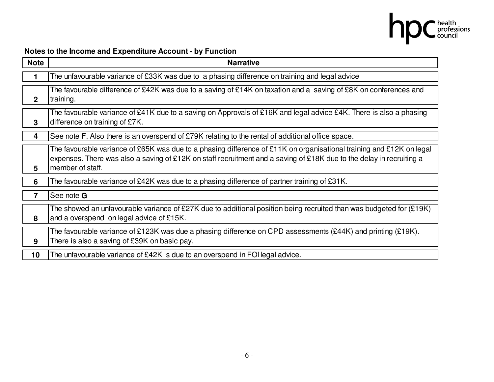

## **Notes to the Income and Expenditure Account - by Function**

| <b>Note</b>  | <b>Narrative</b>                                                                                                                                                                                                                                                 |
|--------------|------------------------------------------------------------------------------------------------------------------------------------------------------------------------------------------------------------------------------------------------------------------|
|              | The unfavourable variance of £33K was due to a phasing difference on training and legal advice                                                                                                                                                                   |
| $\mathbf{2}$ | The favourable difference of £42K was due to a saving of £14K on taxation and a saving of £8K on conferences and<br>training.                                                                                                                                    |
| 3            | The favourable variance of £41K due to a saving on Approvals of £16K and legal advice £4K. There is also a phasing<br>difference on training of £7K.                                                                                                             |
| 4            | See note F. Also there is an overspend of £79K relating to the rental of additional office space.                                                                                                                                                                |
| 5            | The favourable variance of £65K was due to a phasing difference of £11K on organisational training and £12K on legal<br>expenses. There was also a saving of £12K on staff recruitment and a saving of £18K due to the delay in recruiting a<br>member of staff. |
| 6            | The favourable variance of £42K was due to a phasing difference of partner training of £31K.                                                                                                                                                                     |
| 7            | See note <b>G</b>                                                                                                                                                                                                                                                |
| 8            | The showed an unfavourable variance of £27K due to additional position being recruited than was budgeted for $(E19K)$<br>and a overspend on legal advice of £15K.                                                                                                |
| 9            | The favourable variance of £123K was due a phasing difference on CPD assessments (£44K) and printing (£19K).<br>There is also a saving of £39K on basic pay.                                                                                                     |
| 10           | The unfavourable variance of £42K is due to an overspend in FOI legal advice.                                                                                                                                                                                    |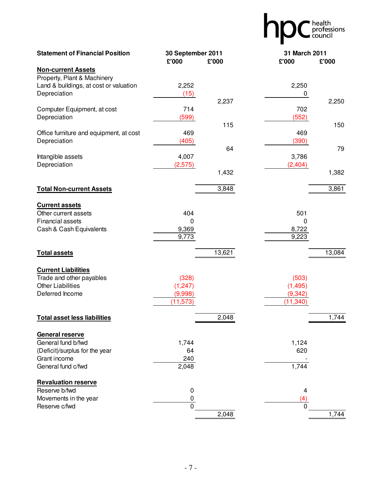|                                                                                                               |                                           |             |                                            | health<br>professions |
|---------------------------------------------------------------------------------------------------------------|-------------------------------------------|-------------|--------------------------------------------|-----------------------|
| <b>Statement of Financial Position</b>                                                                        | 30 September 2011<br>£'000                | £'000       | 31 March 2011<br>£'000                     | £'000                 |
| <b>Non-current Assets</b>                                                                                     |                                           |             |                                            |                       |
| Property, Plant & Machinery<br>Land & buildings, at cost or valuation<br>Depreciation                         | 2,252<br>(15)                             | 2,237       | 2,250<br>0                                 | 2,250                 |
| Computer Equipment, at cost<br>Depreciation                                                                   | 714<br>(599)                              |             | 702<br>(552)                               |                       |
| Office furniture and equipment, at cost<br>Depreciation                                                       | 469<br>(405)                              | 115         | 469<br>(390)                               | 150                   |
| Intangible assets<br>Depreciation                                                                             | 4,007<br>(2,575)                          | 64<br>1,432 | 3,786<br>(2, 404)                          | 79<br>1,382           |
|                                                                                                               |                                           |             |                                            |                       |
| <b>Total Non-current Assets</b>                                                                               |                                           | 3,848       |                                            | 3,861                 |
| <b>Current assets</b><br>Other current assets<br><b>Financial assets</b><br>Cash & Cash Equivalents           | 404<br>$\Omega$<br>9,369<br>9,773         |             | 501<br>0<br>8,722<br>9,223                 |                       |
| <b>Total assets</b>                                                                                           |                                           | 13,621      |                                            | 13,084                |
| <b>Current Liabilities</b><br>Trade and other payables<br><b>Other Liabilities</b><br>Deferred Income         | (328)<br>(1, 247)<br>(9,998)<br>(11, 573) |             | (503)<br>(1, 495)<br>(9, 342)<br>(11, 340) |                       |
| <b>Total asset less liabilities</b>                                                                           |                                           | 2,048       |                                            | 1,744                 |
| General reserve<br>General fund b/fwd<br>(Deficit)/surplus for the year<br>Grant income<br>General fund c/fwd | 1,744<br>64<br>240<br>2,048               |             | 1,124<br>620<br>1,744                      |                       |
| <b>Revaluation reserve</b><br>Reserve b/fwd<br>Movements in the year<br>Reserve c/fwd                         | 0<br>$\pmb{0}$<br>0                       | 2,048       | 4<br>(4)<br>0                              | 1,744                 |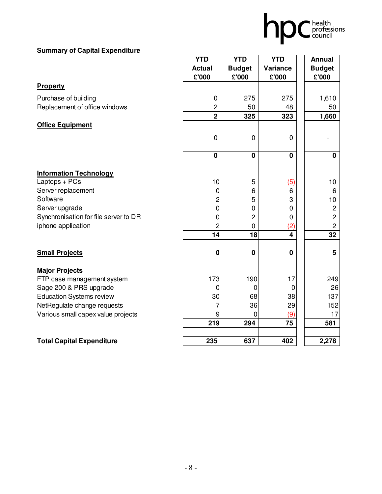

#### **Summary of Capital Expenditure**

|                                                      | <b>YTD</b>                             | <b>YTD</b>             | <b>YTD</b>              | <b>Annual</b>             |
|------------------------------------------------------|----------------------------------------|------------------------|-------------------------|---------------------------|
|                                                      | <b>Actual</b><br>£'000                 | <b>Budget</b><br>£'000 | Variance<br>£'000       | <b>Budget</b><br>£'000    |
| Property                                             |                                        |                        |                         |                           |
| Purchase of building                                 | $\mathbf 0$                            | 275                    | 275                     | 1,610                     |
| Replacement of office windows                        | $\overline{2}$                         | 50                     | 48                      | 50                        |
|                                                      | $\overline{\mathbf{2}}$                | 325                    | 323                     | 1,660                     |
| <b>Office Equipment</b>                              |                                        |                        |                         |                           |
|                                                      | $\mathbf 0$                            | $\mathbf 0$            | 0                       |                           |
|                                                      |                                        |                        |                         |                           |
|                                                      | $\pmb{0}$                              | $\mathbf 0$            | 0                       | $\mathbf 0$               |
|                                                      |                                        |                        |                         |                           |
| <b>Information Technology</b>                        |                                        |                        |                         |                           |
| Laptops + PCs                                        | 10                                     | 5                      | (5)                     | 10                        |
| Server replacement<br>Software                       | 0                                      | 6<br>5                 | 6<br>3                  | 6                         |
| Server upgrade                                       | $\overline{\mathbf{c}}$<br>$\mathbf 0$ | $\mathbf 0$            | 0                       | 10                        |
| Synchronisation for file server to DR                | 0                                      | $\overline{c}$         |                         | $\sqrt{2}$<br>$\mathbf 2$ |
| iphone application                                   | $\overline{c}$                         | $\mathbf 0$            | 0<br>(2)                | $\mathbf{2}$              |
|                                                      | 14                                     | 18                     | $\overline{\mathbf{4}}$ | $\overline{32}$           |
|                                                      |                                        |                        |                         |                           |
| <b>Small Projects</b>                                | $\mathbf 0$                            | $\mathbf 0$            | 0                       | $5\phantom{.0}$           |
|                                                      |                                        |                        |                         |                           |
| <b>Major Projects</b>                                | 173                                    | 190                    | 17                      | 249                       |
| FTP case management system<br>Sage 200 & PRS upgrade | 0                                      | $\mathbf 0$            | 0                       | 26                        |
| <b>Education Systems review</b>                      | 30                                     | 68                     | 38                      | 137                       |
| NetRegulate change requests                          | 7                                      | 36                     | 29                      | 152                       |
| Various small capex value projects                   | 9                                      | $\mathbf 0$            | (9)                     | 17                        |
|                                                      | 219                                    | 294                    | 75                      | 581                       |
|                                                      |                                        |                        |                         |                           |
| <b>Total Capital Expenditure</b>                     | 235                                    | 637                    | 402                     | 2,278                     |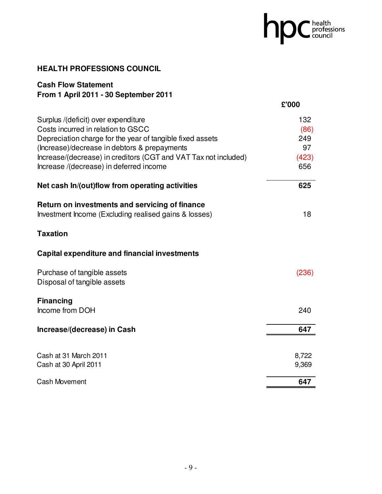# hpC health

#### **HEALTH PROFESSIONS COUNCIL**

#### **Cash Flow Statement From 1 April 2011 - 30 September 2011**

|                                                                 | £'000 |
|-----------------------------------------------------------------|-------|
| Surplus /(deficit) over expenditure                             | 132   |
| Costs incurred in relation to GSCC                              | (86)  |
| Depreciation charge for the year of tangible fixed assets       | 249   |
| (Increase)/decrease in debtors & prepayments                    | 97    |
| Increase/(decrease) in creditors (CGT and VAT Tax not included) | (423) |
| Increase /(decrease) in deferred income                         | 656   |
| Net cash In/(out)flow from operating activities                 | 625   |
| Return on investments and servicing of finance                  |       |
| Investment Income (Excluding realised gains & losses)           | 18    |
| <b>Taxation</b>                                                 |       |
| <b>Capital expenditure and financial investments</b>            |       |
| Purchase of tangible assets                                     | (236) |
| Disposal of tangible assets                                     |       |
| <b>Financing</b>                                                |       |
| Income from DOH                                                 | 240   |
| Increase/(decrease) in Cash                                     | 647   |
|                                                                 |       |
| Cash at 31 March 2011                                           | 8,722 |
| Cash at 30 April 2011                                           | 9,369 |
| <b>Cash Movement</b>                                            | 647   |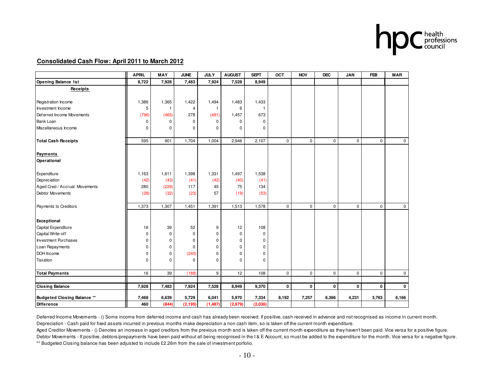

#### **Consolidated Cash Flow: April 2011 to March 2012**

|                                    | <b>APRIL</b> | <b>MAY</b>   | <b>JUNE</b> | <b>JULY</b>  | <b>AUGUST</b> | <b>SEPT</b>  | <b>OCT</b>  | <b>NOV</b>  | <b>DEC</b>  | <b>JAN</b>  | <b>FEB</b>  | <b>MAR</b>  |
|------------------------------------|--------------|--------------|-------------|--------------|---------------|--------------|-------------|-------------|-------------|-------------|-------------|-------------|
| <b>Opening Balance 1st</b>         | 8,722        | 7,928        | 7,483       | 7,924        | 7,528         | 8,949        |             |             |             |             |             |             |
| Receipts                           |              |              |             |              |               |              |             |             |             |             |             |             |
|                                    |              |              |             |              |               |              |             |             |             |             |             |             |
| Registration Income                | 1,386        | 1,365        | 1,422       | 1,494        | 1,483         | 1,433        |             |             |             |             |             |             |
| Investment Income                  | 5            | $\mathbf{1}$ | 4           | $\mathbf{1}$ | 6             | $\mathbf{1}$ |             |             |             |             |             |             |
| Deferred Income Movements          | (796)        | (465)        | 278         | (491)        | 1,457         | 673          |             |             |             |             |             |             |
| <b>Bank Loan</b>                   | 0            | $\mathbf 0$  | 0           | 0            | 0             | $\mathbf 0$  |             |             |             |             |             |             |
| Miscellaneous Income               | 0            | $\Omega$     | 0           | 0            | $\Omega$      | 0            |             |             |             |             |             |             |
| <b>Total Cash Receipts</b>         | 595          | 901          | 1,704       | 1,004        | 2,946         | 2,107        | $\mathbf 0$ | 0           | $\mathbf 0$ | $\mathbf 0$ | $\mathbf 0$ | 0           |
| Payments                           |              |              |             |              |               |              |             |             |             |             |             |             |
| Operational                        |              |              |             |              |               |              |             |             |             |             |             |             |
| Expenditure                        | 1,163        | 1,611        | 1,398       | 1,331        | 1,497         | 1,538        |             |             |             |             |             |             |
| Depreciation                       | (42)         | (43)         | (41)        | (42)         | (40)          | (41)         |             |             |             |             |             |             |
| Aged Cred / Accrual Movements      | 280          | (229)        | 117         | 45           | 75            | 134          |             |             |             |             |             |             |
| Debtor Movements                   | (28)         | (32)         | (23)        | 57           | (19)          | (53)         |             |             |             |             |             |             |
| Payments to Creditors              | 1,373        | 1,307        | 1,451       | 1,391        | 1,513         | 1,578        | $\mathsf 0$ | $\mathbf 0$ | $\Omega$    | $\mathbf 0$ | $\mathbf 0$ | $\mathbf 0$ |
| Exceptional                        |              |              |             |              |               |              |             |             |             |             |             |             |
| Capital Expenditure                | 16           | 39           | 52          | 9            | 12            | 108          |             |             |             |             |             |             |
| Capital Write-off                  | 0            | $\mathbf 0$  | 0           | 0            | $\pmb{0}$     | $\mathbf 0$  |             |             |             |             |             |             |
| <b>Investment Purchases</b>        | 0            | $\mathbf 0$  | 0           | 0            | 0             | 0            |             |             |             |             |             |             |
| Loan Repayments                    | 0            | $\mathbf 0$  | 0           | 0            | $\Omega$      | 0            |             |             |             |             |             |             |
| DOH Income                         | 0            | $\mathbf 0$  | (240)       | 0            | $\mathbf 0$   | 0            |             |             |             |             |             |             |
| Taxation                           | 0            | $\Omega$     | 0           | 0            | $\Omega$      | 0            |             |             |             |             |             |             |
| <b>Total Payments</b>              | 16           | 39           | (188)       | 9            | 12            | 108          | $\mathbf 0$ | $\mathsf 0$ | $\mathbf 0$ | $\mathbf 0$ | $\mathbf 0$ | $\mathsf 0$ |
|                                    |              |              |             |              |               |              |             |             |             |             |             |             |
| <b>Closing Balance</b>             | 7,928        | 7,483        | 7,924       | 7,528        | 8,949         | 9,370        | 0           | $\mathbf 0$ | 0           | $\bf{0}$    | 0           | $\mathbf 0$ |
| <b>Budgeted Closing Balance **</b> | 7,468        | 6,639        | 5,729       | 6,041        | 5,970         | 7,334        | 8,192       | 7,257       | 6,366       | 4,231       | 3,763       | 6,166       |
| Difference                         | 460          | (844)        | (2, 195)    | (1,487)      | (2,979)       | (2,036)      |             |             |             |             |             |             |

Deferred Income Movements - () Some income from deferred income and cash has already been received. If positive, cash received in advance and not recognised as income in current month. Depreciation - Cash paid for fixed assets incurred in previous months make depreciation a non cash item, so is taken off the current month expenditure.

 Aged Creditor Movements - () Denotes an increase in aged creditors from the previous month and is taken off the current month expenditure as they haven't been paid. Vice versa for a positive figure.Debtor Movements - If positive, debtors/prepayments have been paid without all being recognised in the I & E Account, so must be added to the expenditure for the month, Vice versa for a negative figure. \*\* Budgeted Closing balance has been adjusted to include £2.26m from the sale of investment porfolio.